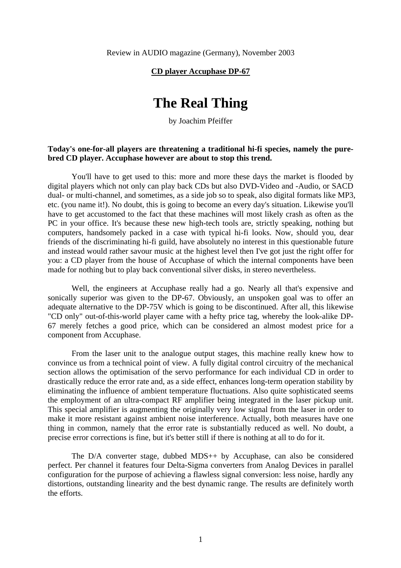Review in AUDIO magazine (Germany), November 2003

### **CD player Accuphase DP-67**

# **The Real Thing**

by Joachim Pfeiffer

## **Today's one-for-all players are threatening a traditional hi-fi species, namely the purebred CD player. Accuphase however are about to stop this trend.**

You'll have to get used to this: more and more these days the market is flooded by digital players which not only can play back CDs but also DVD-Video and -Audio, or SACD dual- or multi-channel, and sometimes, as a side job so to speak, also digital formats like MP3, etc. (you name it!). No doubt, this is going to become an every day's situation. Likewise you'll have to get accustomed to the fact that these machines will most likely crash as often as the PC in your office. It's because these new high-tech tools are, strictly speaking, nothing but computers, handsomely packed in a case with typical hi-fi looks. Now, should you, dear friends of the discriminating hi-fi guild, have absolutely no interest in this questionable future and instead would rather savour music at the highest level then I've got just the right offer for you: a CD player from the house of Accuphase of which the internal components have been made for nothing but to play back conventional silver disks, in stereo nevertheless.

Well, the engineers at Accuphase really had a go. Nearly all that's expensive and sonically superior was given to the DP-67. Obviously, an unspoken goal was to offer an adequate alternative to the DP-75V which is going to be discontinued. After all, this likewise "CD only" out-of-this-world player came with a hefty price tag, whereby the look-alike DP-67 merely fetches a good price, which can be considered an almost modest price for a component from Accuphase.

From the laser unit to the analogue output stages, this machine really knew how to convince us from a technical point of view. A fully digital control circuitry of the mechanical section allows the optimisation of the servo performance for each individual CD in order to drastically reduce the error rate and, as a side effect, enhances long-term operation stability by eliminating the influence of ambient temperature fluctuations. Also quite sophisticated seems the employment of an ultra-compact RF amplifier being integrated in the laser pickup unit. This special amplifier is augmenting the originally very low signal from the laser in order to make it more resistant against ambient noise interference. Actually, both measures have one thing in common, namely that the error rate is substantially reduced as well. No doubt, a precise error corrections is fine, but it's better still if there is nothing at all to do for it.

The D/A converter stage, dubbed MDS++ by Accuphase, can also be considered perfect. Per channel it features four Delta-Sigma converters from Analog Devices in parallel configuration for the purpose of achieving a flawless signal conversion: less noise, hardly any distortions, outstanding linearity and the best dynamic range. The results are definitely worth the efforts.